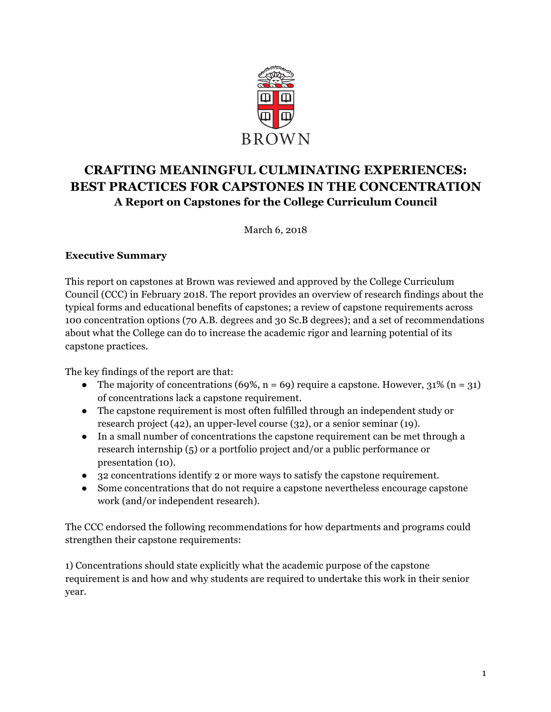

# **CRAFTING MEANINGFUL CULMINATING EXPERIENCES: BEST PRACTICES FOR CAPSTONES IN THE CONCENTRATION A Report on Capstones for the College Curriculum Council**

March 6, 2018

#### **Executive Summary**

This report on capstones at Brown was reviewed and approved by the College Curriculum Council (CCC) in February 2018. The report provides an overview of research findings about the typical forms and educational benefits of capstones; a review of capstone requirements across 100 concentration options (70 A.B. degrees and 30 Sc.B degrees); and a set of recommendations about what the College can do to increase the academic rigor and learning potential of its capstone practices.

The key findings of the report are that:

- The majority of concentrations (69%,  $n = 69$ ) require a capstone. However, 31% ( $n = 31$ ) of concentrations lack a capstone requirement.
- The capstone requirement is most often fulfilled through an independent study or research project (42), an upper-level course (32), or a senior seminar (19).
- In a small number of concentrations the capstone requirement can be met through a research internship (5) or a portfolio project and/or a public performance or presentation (10).
- 32 concentrations identify 2 or more ways to satisfy the capstone requirement.
- Some concentrations that do not require a capstone nevertheless encourage capstone work (and/or independent research).

The CCC endorsed the following recommendations for how departments and programs could strengthen their capstone requirements:

1) Concentrations should state explicitly what the academic purpose of the capstone requirement is and how and why students are required to undertake this work in their senior year.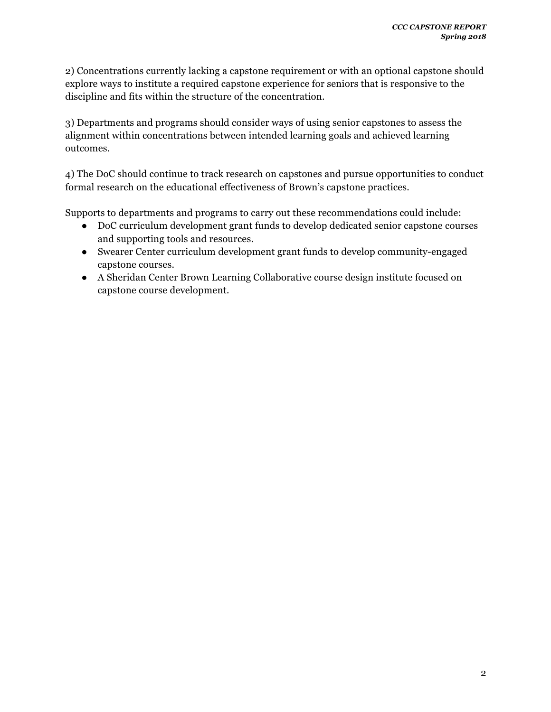2) Concentrations currently lacking a capstone requirement or with an optional capstone should explore ways to institute a required capstone experience for seniors that is responsive to the discipline and fits within the structure of the concentration.

3) Departments and programs should consider ways of using senior capstones to assess the alignment within concentrations between intended learning goals and achieved learning outcomes.

4) The DoC should continue to track research on capstones and pursue opportunities to conduct formal research on the educational effectiveness of Brown's capstone practices.

Supports to departments and programs to carry out these recommendations could include:

- DoC curriculum development grant funds to develop dedicated senior capstone courses and supporting tools and resources.
- Swearer Center curriculum development grant funds to develop community-engaged capstone courses.
- A Sheridan Center Brown Learning Collaborative course design institute focused on capstone course development.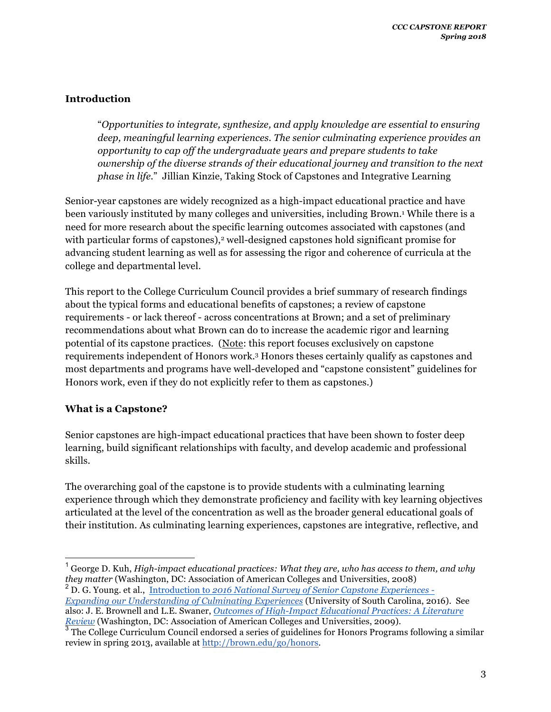## **Introduction**

"*Opportunities to integrate, synthesize, and apply knowledge are essential to ensuring deep, meaningful learning experiences. The senior culminating experience provides an opportunity to cap off the undergraduate years and prepare students to take ownership of the diverse strands of their educational journey and transition to the next phase in life.*" Jillian Kinzie, Taking Stock of Capstones and Integrative Learning

Senior-year capstones are widely recognized as a high-impact educational practice and have been variously instituted by many colleges and universities, including Brown.1 While there is a need for more research about the specific learning outcomes associated with capstones (and with particular forms of capstones),<sup>2</sup> well-designed capstones hold significant promise for advancing student learning as well as for assessing the rigor and coherence of curricula at the college and departmental level.

This report to the College Curriculum Council provides a brief summary of research findings about the typical forms and educational benefits of capstones; a review of capstone requirements - or lack thereof - across concentrations at Brown; and a set of preliminary recommendations about what Brown can do to increase the academic rigor and learning potential of its capstone practices. (Note: this report focuses exclusively on capstone requirements independent of Honors work.3 Honors theses certainly qualify as capstones and most departments and programs have well-developed and "capstone consistent" guidelines for Honors work, even if they do not explicitly refer to them as capstones.)

## **What is a Capstone?**

Senior capstones are high-impact educational practices that have been shown to foster deep learning, build significant relationships with faculty, and develop academic and professional skills.

The overarching goal of the capstone is to provide students with a culminating learning experience through which they demonstrate proficiency and facility with key learning objectives articulated at the level of the concentration as well as the broader general educational goals of their institution. As culminating learning experiences, capstones are integrative, reflective, and

*Expanding our Understanding of Culminating Experiences* (University of South Carolina, 2016). See also: J. E. Brownell and L.E. Swaner, *Outcomes of High-Impact Educational Practices: A Literature Review* (Washington, DC: Association of American Colleges and Universities, 2009).

 $^{\rm 1}$  George D. Kuh, *High-impact educational practices: What they are, who has access to them, and why they matter* (Washington, DC: Association of American Colleges and Universities, 2008) <sup>2</sup> D. G. Young. et al., Introduction to *2016 National Survey of Senior Capstone Experiences -*

<sup>&</sup>lt;sup>3</sup> The College Curriculum Council endorsed a series of guidelines for Honors Programs following a similar review in spring 2013, available at http://brown.edu/go/honors.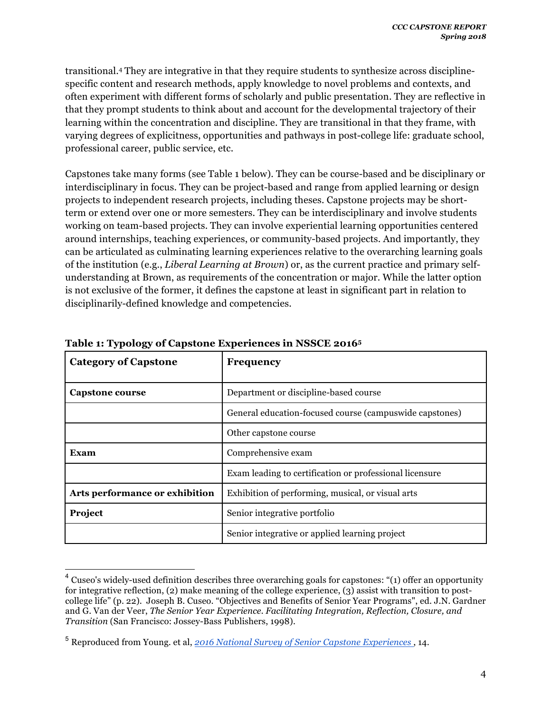transitional.4 They are integrative in that they require students to synthesize across disciplinespecific content and research methods, apply knowledge to novel problems and contexts, and often experiment with different forms of scholarly and public presentation. They are reflective in that they prompt students to think about and account for the developmental trajectory of their learning within the concentration and discipline. They are transitional in that they frame, with varying degrees of explicitness, opportunities and pathways in post-college life: graduate school, professional career, public service, etc.

Capstones take many forms (see Table 1 below). They can be course-based and be disciplinary or interdisciplinary in focus. They can be project-based and range from applied learning or design projects to independent research projects, including theses. Capstone projects may be shortterm or extend over one or more semesters. They can be interdisciplinary and involve students working on team-based projects. They can involve experiential learning opportunities centered around internships, teaching experiences, or community-based projects. And importantly, they can be articulated as culminating learning experiences relative to the overarching learning goals of the institution (e.g., *Liberal Learning at Brown*) or, as the current practice and primary selfunderstanding at Brown, as requirements of the concentration or major. While the latter option is not exclusive of the former, it defines the capstone at least in significant part in relation to disciplinarily-defined knowledge and competencies.

| <b>Category of Capstone</b>    | <b>Frequency</b>                                         |
|--------------------------------|----------------------------------------------------------|
| Capstone course                | Department or discipline-based course                    |
|                                | General education-focused course (campus wide capstones) |
|                                | Other capstone course                                    |
| <b>Exam</b>                    | Comprehensive exam                                       |
|                                | Exam leading to certification or professional licensure  |
| Arts performance or exhibition | Exhibition of performing, musical, or visual arts        |
| Project                        | Senior integrative portfolio                             |
|                                | Senior integrative or applied learning project           |

#### **Table 1: Typology of Capstone Experiences in NSSCE 20165**

 $4$  Cuseo's widely-used definition describes three overarching goals for capstones: "(1) offer an opportunity for integrative reflection, (2) make meaning of the college experience, (3) assist with transition to postcollege life" (p. 22). Joseph B. Cuseo. "Objectives and Benefits of Senior Year Programs", ed. J.N. Gardner and G. Van der Veer, *The Senior Year Experience. Facilitating Integration, Reflection, Closure, and Transition* (San Francisco: Jossey-Bass Publishers, 1998).

<sup>5</sup> Reproduced from Young. et al, *2016 National Survey of Senior Capstone Experiences* , 14.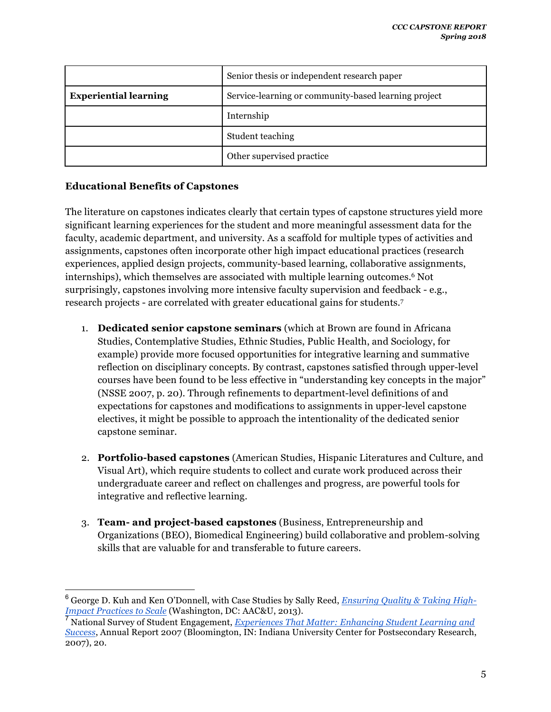|                              | Senior thesis or independent research paper          |
|------------------------------|------------------------------------------------------|
| <b>Experiential learning</b> | Service-learning or community-based learning project |
|                              | Internship                                           |
|                              | Student teaching                                     |
|                              | Other supervised practice                            |

## **Educational Benefits of Capstones**

The literature on capstones indicates clearly that certain types of capstone structures yield more significant learning experiences for the student and more meaningful assessment data for the faculty, academic department, and university. As a scaffold for multiple types of activities and assignments, capstones often incorporate other high impact educational practices (research experiences, applied design projects, community-based learning, collaborative assignments, internships), which themselves are associated with multiple learning outcomes.6 Not surprisingly, capstones involving more intensive faculty supervision and feedback - e.g., research projects - are correlated with greater educational gains for students.7

- 1. **Dedicated senior capstone seminars** (which at Brown are found in Africana Studies, Contemplative Studies, Ethnic Studies, Public Health, and Sociology, for example) provide more focused opportunities for integrative learning and summative reflection on disciplinary concepts. By contrast, capstones satisfied through upper-level courses have been found to be less effective in "understanding key concepts in the major" (NSSE 2007, p. 20). Through refinements to department-level definitions of and expectations for capstones and modifications to assignments in upper-level capstone electives, it might be possible to approach the intentionality of the dedicated senior capstone seminar.
- 2. **Portfolio-based capstones** (American Studies, Hispanic Literatures and Culture, and Visual Art), which require students to collect and curate work produced across their undergraduate career and reflect on challenges and progress, are powerful tools for integrative and reflective learning.
- 3. **Team- and project-based capstones** (Business, Entrepreneurship and Organizations (BEO), Biomedical Engineering) build collaborative and problem-solving skills that are valuable for and transferable to future careers.

 <sup>6</sup> George D. Kuh and Ken O'Donnell, with Case Studies by Sally Reed, *Ensuring Quality & Taking High-Impact Practices to Scale* (Washington, DC: AAC&U, 2013).

<sup>7</sup> National Survey of Student Engagement, *Experiences That Matter: Enhancing Student Learning and Success*, Annual Report 2007 (Bloomington, IN: Indiana University Center for Postsecondary Research, 2007), 20.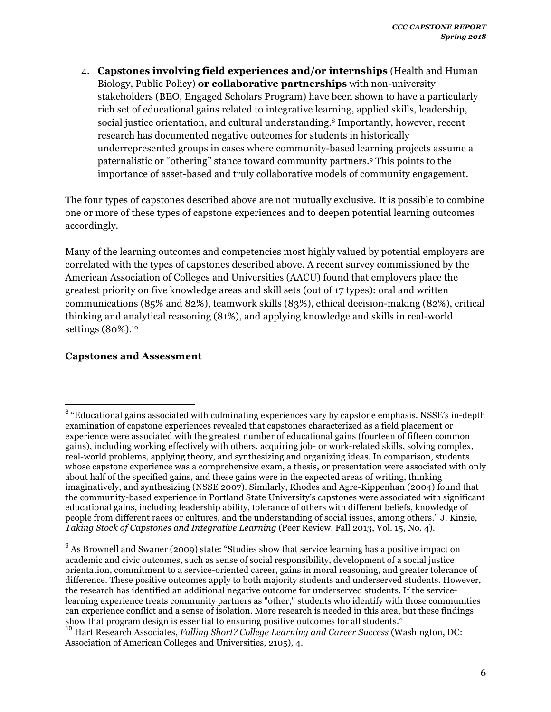4. **Capstones involving field experiences and/or internships** (Health and Human Biology, Public Policy) **or collaborative partnerships** with non-university stakeholders (BEO, Engaged Scholars Program) have been shown to have a particularly rich set of educational gains related to integrative learning, applied skills, leadership, social justice orientation, and cultural understanding.8 Importantly, however, recent research has documented negative outcomes for students in historically underrepresented groups in cases where community-based learning projects assume a paternalistic or "othering" stance toward community partners.9 This points to the importance of asset-based and truly collaborative models of community engagement.

The four types of capstones described above are not mutually exclusive. It is possible to combine one or more of these types of capstone experiences and to deepen potential learning outcomes accordingly.

Many of the learning outcomes and competencies most highly valued by potential employers are correlated with the types of capstones described above. A recent survey commissioned by the American Association of Colleges and Universities (AACU) found that employers place the greatest priority on five knowledge areas and skill sets (out of 17 types): oral and written communications (85% and 82%), teamwork skills (83%), ethical decision-making (82%), critical thinking and analytical reasoning (81%), and applying knowledge and skills in real-world settings (80%).<sup>10</sup>

## **Capstones and Assessment**

<sup>&</sup>lt;sup>8</sup> "Educational gains associated with culminating experiences vary by capstone emphasis. NSSE's in-depth examination of capstone experiences revealed that capstones characterized as a field placement or experience were associated with the greatest number of educational gains (fourteen of fifteen common gains), including working effectively with others, acquiring job- or work-related skills, solving complex, real-world problems, applying theory, and synthesizing and organizing ideas. In comparison, students whose capstone experience was a comprehensive exam, a thesis, or presentation were associated with only about half of the specified gains, and these gains were in the expected areas of writing, thinking imaginatively, and synthesizing (NSSE 2007). Similarly, Rhodes and Agre-Kippenhan (2004) found that the community-based experience in Portland State University's capstones were associated with significant educational gains, including leadership ability, tolerance of others with different beliefs, knowledge of people from different races or cultures, and the understanding of social issues, among others." J. Kinzie, *Taking Stock of Capstones and Integrative Learning* (Peer Review. Fall 2013, Vol. 15, No. 4).

<sup>&</sup>lt;sup>9</sup> As Brownell and Swaner (2009) state: "Studies show that service learning has a positive impact on academic and civic outcomes, such as sense of social responsibility, development of a social justice orientation, commitment to a service-oriented career, gains in moral reasoning, and greater tolerance of difference. These positive outcomes apply to both majority students and underserved students. However, the research has identified an additional negative outcome for underserved students. If the servicelearning experience treats community partners as "other," students who identify with those communities can experience conflict and a sense of isolation. More research is needed in this area, but these findings show that program design is essential to ensuring positive outcomes for all students."

<sup>10</sup> Hart Research Associates, *Falling Short? College Learning and Career Success* (Washington, DC: Association of American Colleges and Universities, 2105), 4.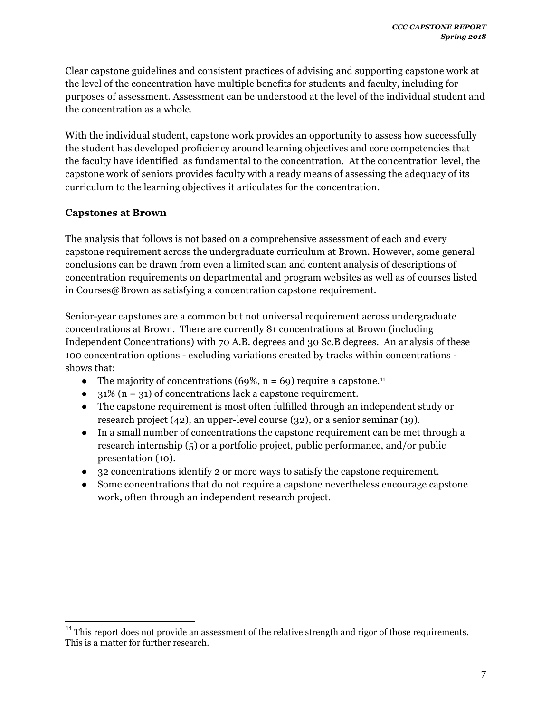Clear capstone guidelines and consistent practices of advising and supporting capstone work at the level of the concentration have multiple benefits for students and faculty, including for purposes of assessment. Assessment can be understood at the level of the individual student and the concentration as a whole.

With the individual student, capstone work provides an opportunity to assess how successfully the student has developed proficiency around learning objectives and core competencies that the faculty have identified as fundamental to the concentration. At the concentration level, the capstone work of seniors provides faculty with a ready means of assessing the adequacy of its curriculum to the learning objectives it articulates for the concentration.

#### **Capstones at Brown**

The analysis that follows is not based on a comprehensive assessment of each and every capstone requirement across the undergraduate curriculum at Brown. However, some general conclusions can be drawn from even a limited scan and content analysis of descriptions of concentration requirements on departmental and program websites as well as of courses listed in Courses@Brown as satisfying a concentration capstone requirement.

Senior-year capstones are a common but not universal requirement across undergraduate concentrations at Brown. There are currently 81 concentrations at Brown (including Independent Concentrations) with 70 A.B. degrees and 30 Sc.B degrees. An analysis of these 100 concentration options - excluding variations created by tracks within concentrations shows that:

- The majority of concentrations  $(69\%, n = 69)$  require a capstone.<sup>11</sup>
- $\bullet$  31% (n = 31) of concentrations lack a capstone requirement.
- The capstone requirement is most often fulfilled through an independent study or research project (42), an upper-level course (32), or a senior seminar (19).
- In a small number of concentrations the capstone requirement can be met through a research internship (5) or a portfolio project, public performance, and/or public presentation (10).
- 32 concentrations identify 2 or more ways to satisfy the capstone requirement.
- Some concentrations that do not require a capstone nevertheless encourage capstone work, often through an independent research project.

<sup>&</sup>lt;sup>11</sup> This report does not provide an assessment of the relative strength and rigor of those requirements. This is a matter for further research.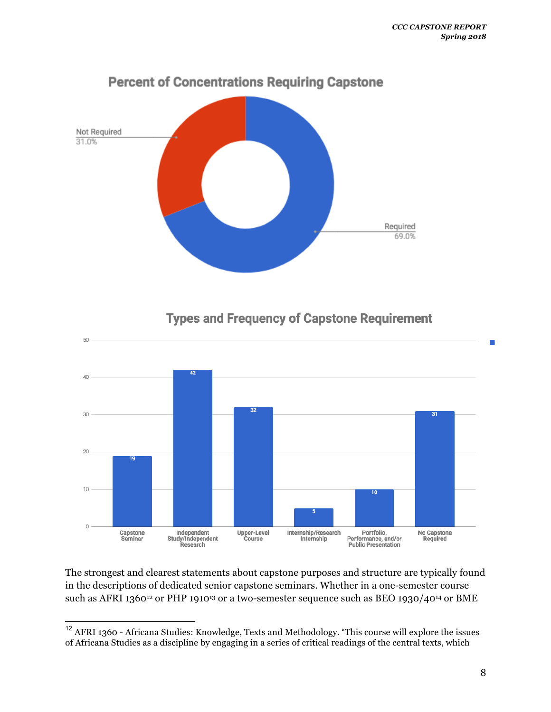

**Types and Frequency of Capstone Requirement** 



The strongest and clearest statements about capstone purposes and structure are typically found in the descriptions of dedicated senior capstone seminars. Whether in a one-semester course such as AFRI 1360<sup>12</sup> or PHP 1910<sup>13</sup> or a two-semester sequence such as BEO 1930/40<sup>14</sup> or BME

 <sup>12</sup> AFRI 1360 - Africana Studies: Knowledge, Texts and Methodology. "This course will explore the issues of Africana Studies as a discipline by engaging in a series of critical readings of the central texts, which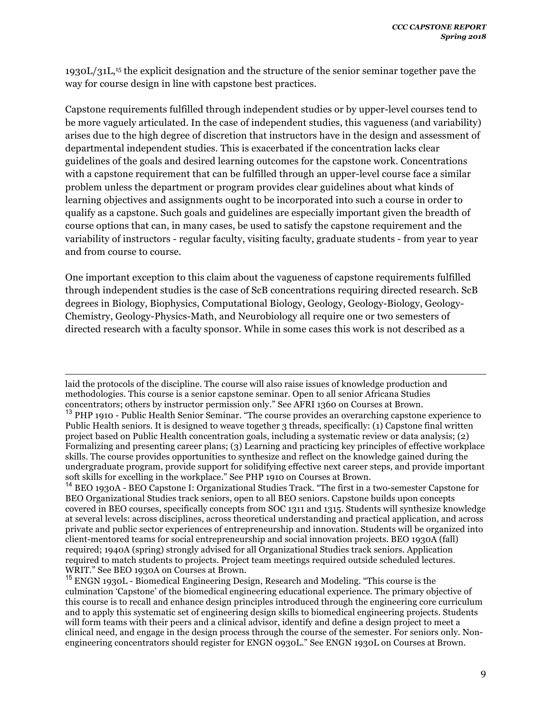1930L/31L,15 the explicit designation and the structure of the senior seminar together pave the way for course design in line with capstone best practices.

Capstone requirements fulfilled through independent studies or by upper-level courses tend to be more vaguely articulated. In the case of independent studies, this vagueness (and variability) arises due to the high degree of discretion that instructors have in the design and assessment of departmental independent studies. This is exacerbated if the concentration lacks clear guidelines of the goals and desired learning outcomes for the capstone work. Concentrations with a capstone requirement that can be fulfilled through an upper-level course face a similar problem unless the department or program provides clear guidelines about what kinds of learning objectives and assignments ought to be incorporated into such a course in order to qualify as a capstone. Such goals and guidelines are especially important given the breadth of course options that can, in many cases, be used to satisfy the capstone requirement and the variability of instructors - regular faculty, visiting faculty, graduate students - from year to year and from course to course.

One important exception to this claim about the vagueness of capstone requirements fulfilled through independent studies is the case of ScB concentrations requiring directed research. ScB degrees in Biology, Biophysics, Computational Biology, Geology, Geology-Biology, Geology-Chemistry, Geology-Physics-Math, and Neurobiology all require one or two semesters of directed research with a faculty sponsor. While in some cases this work is not described as a

laid the protocols of the discipline. The course will also raise issues of knowledge production and methodologies. This course is a senior capstone seminar. Open to all senior Africana Studies concentrators; others by instructor permission only." See AFRI 1360 on Courses at Brown.

 $\overline{a}$ 

<sup>&</sup>lt;sup>13</sup> PHP 1910 - Public Health Senior Seminar. "The course provides an overarching capstone experience to Public Health seniors. It is designed to weave together 3 threads, specifically: (1) Capstone final written project based on Public Health concentration goals, including a systematic review or data analysis; (2) Formalizing and presenting career plans; (3) Learning and practicing key principles of effective workplace skills. The course provides opportunities to synthesize and reflect on the knowledge gained during the undergraduate program, provide support for solidifying effective next career steps, and provide important soft skills for excelling in the workplace." See PHP 1910 on Courses at Brown.

<sup>&</sup>lt;sup>14</sup> BEO 1930A - BEO Capstone I: Organizational Studies Track. "The first in a two-semester Capstone for BEO Organizational Studies track seniors, open to all BEO seniors. Capstone builds upon concepts covered in BEO courses, specifically concepts from SOC 1311 and 1315. Students will synthesize knowledge at several levels: across disciplines, across theoretical understanding and practical application, and across private and public sector experiences of entrepreneurship and innovation. Students will be organized into client-mentored teams for social entrepreneurship and social innovation projects. BEO 1930A (fall) required; 1940A (spring) strongly advised for all Organizational Studies track seniors. Application required to match students to projects. Project team meetings required outside scheduled lectures. WRIT." See BEO 1930A on Courses at Brown.

<sup>15</sup> ENGN 1930L - Biomedical Engineering Design, Research and Modeling. "This course is the culmination 'Capstone' of the biomedical engineering educational experience. The primary objective of this course is to recall and enhance design principles introduced through the engineering core curriculum and to apply this systematic set of engineering design skills to biomedical engineering projects. Students will form teams with their peers and a clinical advisor, identify and define a design project to meet a clinical need, and engage in the design process through the course of the semester. For seniors only. Nonengineering concentrators should register for ENGN 0930L." See ENGN 1930L on Courses at Brown.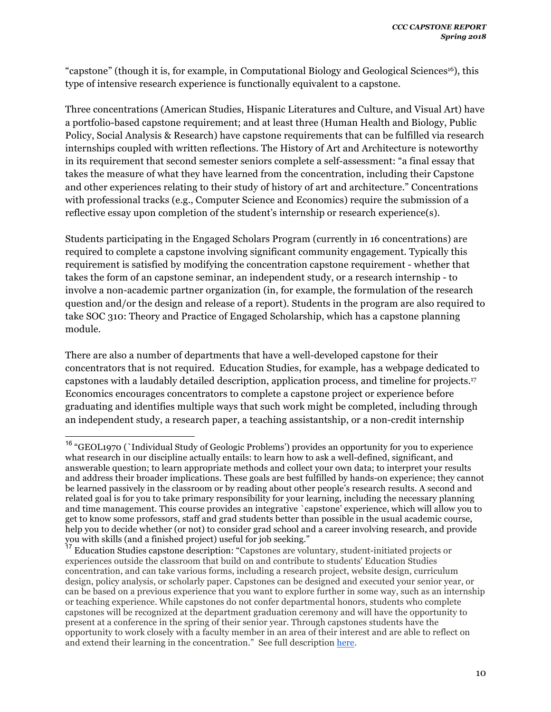"capstone" (though it is, for example, in Computational Biology and Geological Sciences16), this type of intensive research experience is functionally equivalent to a capstone.

Three concentrations (American Studies, Hispanic Literatures and Culture, and Visual Art) have a portfolio-based capstone requirement; and at least three (Human Health and Biology, Public Policy, Social Analysis & Research) have capstone requirements that can be fulfilled via research internships coupled with written reflections. The History of Art and Architecture is noteworthy in its requirement that second semester seniors complete a self-assessment: "a final essay that takes the measure of what they have learned from the concentration, including their Capstone and other experiences relating to their study of history of art and architecture." Concentrations with professional tracks (e.g., Computer Science and Economics) require the submission of a reflective essay upon completion of the student's internship or research experience(s).

Students participating in the Engaged Scholars Program (currently in 16 concentrations) are required to complete a capstone involving significant community engagement. Typically this requirement is satisfied by modifying the concentration capstone requirement - whether that takes the form of an capstone seminar, an independent study, or a research internship - to involve a non-academic partner organization (in, for example, the formulation of the research question and/or the design and release of a report). Students in the program are also required to take SOC 310: Theory and Practice of Engaged Scholarship, which has a capstone planning module.

There are also a number of departments that have a well-developed capstone for their concentrators that is not required. Education Studies, for example, has a webpage dedicated to capstones with a laudably detailed description, application process, and timeline for projects.17 Economics encourages concentrators to complete a capstone project or experience before graduating and identifies multiple ways that such work might be completed, including through an independent study, a research paper, a teaching assistantship, or a non-credit internship

 <sup>16</sup> "GEOL1970 (`Individual Study of Geologic Problems') provides an opportunity for you to experience what research in our discipline actually entails: to learn how to ask a well-defined, significant, and answerable question; to learn appropriate methods and collect your own data; to interpret your results and address their broader implications. These goals are best fulfilled by hands-on experience; they cannot be learned passively in the classroom or by reading about other people's research results. A second and related goal is for you to take primary responsibility for your learning, including the necessary planning and time management. This course provides an integrative `capstone' experience, which will allow you to get to know some professors, staff and grad students better than possible in the usual academic course, help you to decide whether (or not) to consider grad school and a career involving research, and provide you with skills (and a finished project) useful for job seeking."

<sup>17</sup> Education Studies capstone description: "Capstones are voluntary, student-initiated projects or experiences outside the classroom that build on and contribute to students' Education Studies concentration, and can take various forms, including a research project, website design, curriculum design, policy analysis, or scholarly paper. Capstones can be designed and executed your senior year, or can be based on a previous experience that you want to explore further in some way, such as an internship or teaching experience. While capstones do not confer departmental honors, students who complete capstones will be recognized at the department graduation ceremony and will have the opportunity to present at a conference in the spring of their senior year. Through capstones students have the opportunity to work closely with a faculty member in an area of their interest and are able to reflect on and extend their learning in the concentration." See full description here.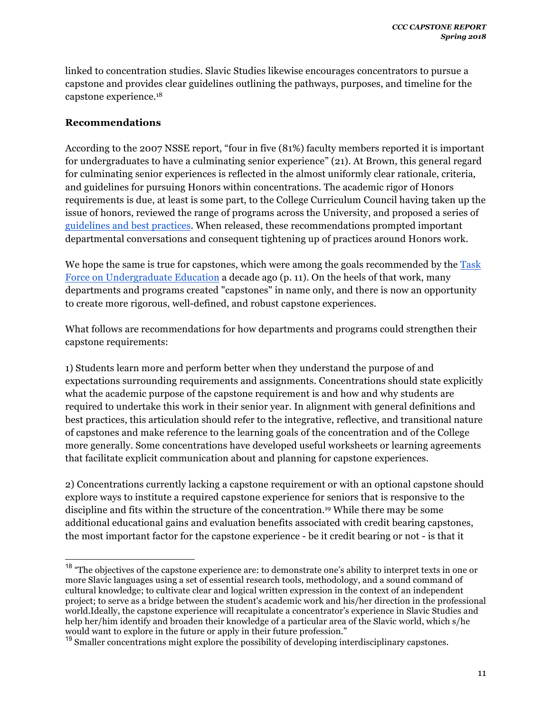linked to concentration studies. Slavic Studies likewise encourages concentrators to pursue a capstone and provides clear guidelines outlining the pathways, purposes, and timeline for the capstone experience.18

### **Recommendations**

According to the 2007 NSSE report, "four in five (81%) faculty members reported it is important for undergraduates to have a culminating senior experience" (21). At Brown, this general regard for culminating senior experiences is reflected in the almost uniformly clear rationale, criteria, and guidelines for pursuing Honors within concentrations. The academic rigor of Honors requirements is due, at least is some part, to the College Curriculum Council having taken up the issue of honors, reviewed the range of programs across the University, and proposed a series of guidelines and best practices. When released, these recommendations prompted important departmental conversations and consequent tightening up of practices around Honors work.

We hope the same is true for capstones, which were among the goals recommended by the Task Force on Undergraduate Education a decade ago (p. 11). On the heels of that work, many departments and programs created "capstones" in name only, and there is now an opportunity to create more rigorous, well-defined, and robust capstone experiences.

What follows are recommendations for how departments and programs could strengthen their capstone requirements:

1) Students learn more and perform better when they understand the purpose of and expectations surrounding requirements and assignments. Concentrations should state explicitly what the academic purpose of the capstone requirement is and how and why students are required to undertake this work in their senior year. In alignment with general definitions and best practices, this articulation should refer to the integrative, reflective, and transitional nature of capstones and make reference to the learning goals of the concentration and of the College more generally. Some concentrations have developed useful worksheets or learning agreements that facilitate explicit communication about and planning for capstone experiences.

2) Concentrations currently lacking a capstone requirement or with an optional capstone should explore ways to institute a required capstone experience for seniors that is responsive to the discipline and fits within the structure of the concentration.19 While there may be some additional educational gains and evaluation benefits associated with credit bearing capstones, the most important factor for the capstone experience - be it credit bearing or not - is that it

<sup>&</sup>lt;sup>18</sup> "The objectives of the capstone experience are: to demonstrate one's ability to interpret texts in one or more Slavic languages using a set of essential research tools, methodology, and a sound command of cultural knowledge; to cultivate clear and logical written expression in the context of an independent project; to serve as a bridge between the student's academic work and his/her direction in the professional world.Ideally, the capstone experience will recapitulate a concentrator's experience in Slavic Studies and help her/him identify and broaden their knowledge of a particular area of the Slavic world, which s/he would want to explore in the future or apply in their future profession."

<sup>&</sup>lt;sup>19</sup> Smaller concentrations might explore the possibility of developing interdisciplinary capstones.